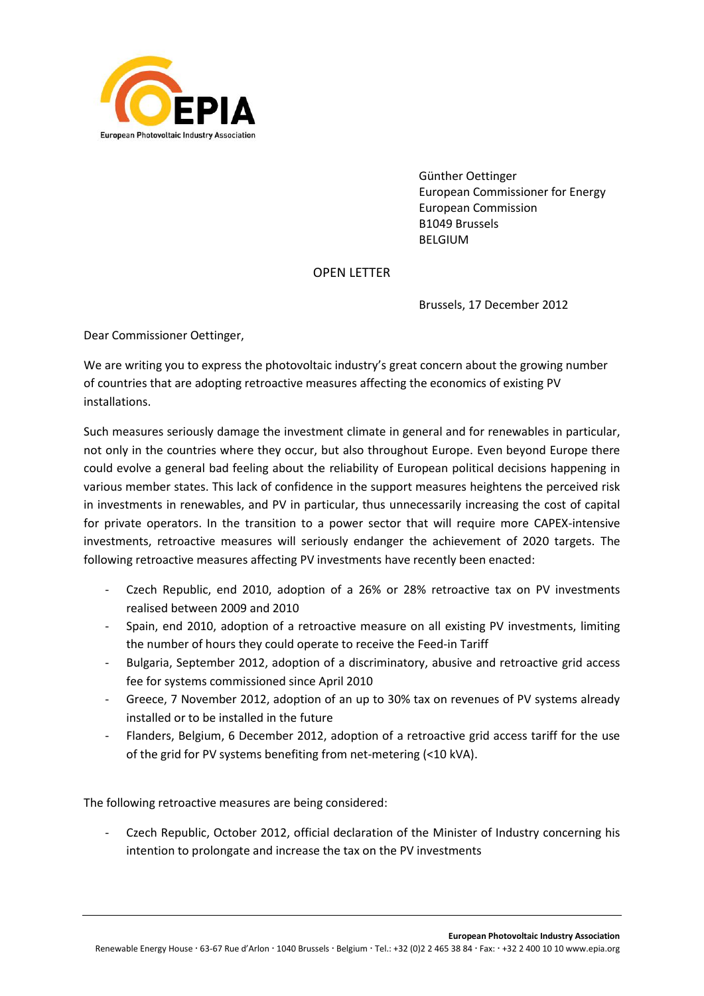

Günther Oettinger European Commissioner for Energy European Commission B1049 Brussels BELGIUM

## OPEN LETTER

Brussels, 17 December 2012

Dear Commissioner Oettinger,

We are writing you to express the photovoltaic industry's great concern about the growing number of countries that are adopting retroactive measures affecting the economics of existing PV installations.

Such measures seriously damage the investment climate in general and for renewables in particular, not only in the countries where they occur, but also throughout Europe. Even beyond Europe there could evolve a general bad feeling about the reliability of European political decisions happening in various member states. This lack of confidence in the support measures heightens the perceived risk in investments in renewables, and PV in particular, thus unnecessarily increasing the cost of capital for private operators. In the transition to a power sector that will require more CAPEX-intensive investments, retroactive measures will seriously endanger the achievement of 2020 targets. The following retroactive measures affecting PV investments have recently been enacted:

- Czech Republic, end 2010, adoption of a 26% or 28% retroactive tax on PV investments realised between 2009 and 2010
- Spain, end 2010, adoption of a retroactive measure on all existing PV investments, limiting the number of hours they could operate to receive the Feed-in Tariff
- Bulgaria, September 2012, adoption of a discriminatory, abusive and retroactive grid access fee for systems commissioned since April 2010
- Greece, 7 November 2012, adoption of an up to 30% tax on revenues of PV systems already installed or to be installed in the future
- Flanders, Belgium, 6 December 2012, adoption of a retroactive grid access tariff for the use of the grid for PV systems benefiting from net-metering (<10 kVA).

The following retroactive measures are being considered:

Czech Republic, October 2012, official declaration of the Minister of Industry concerning his intention to prolongate and increase the tax on the PV investments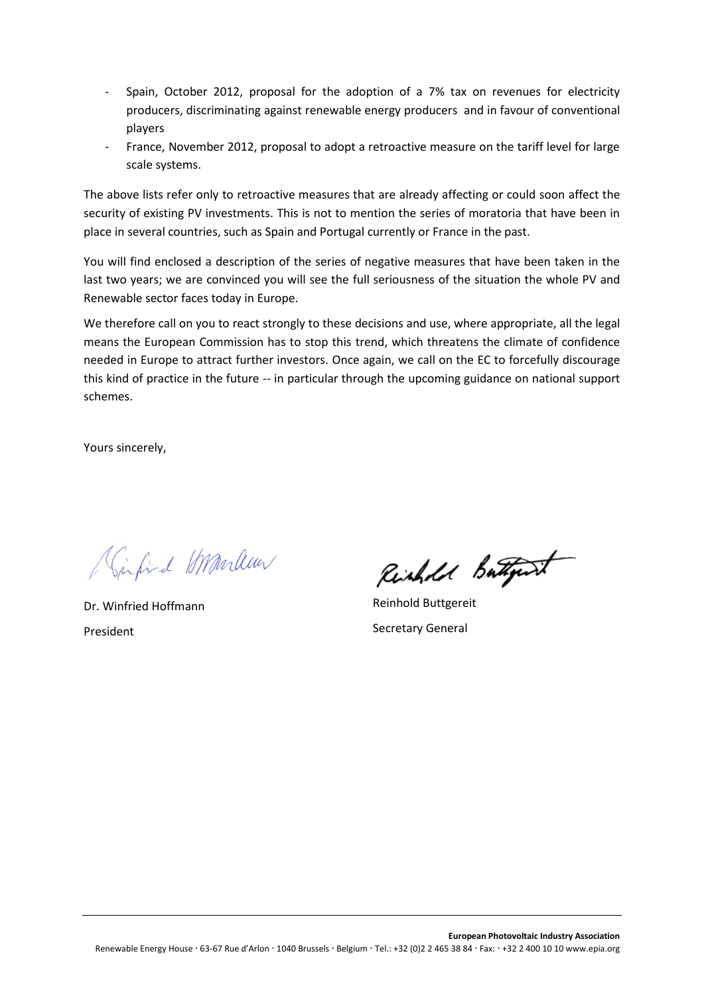- Spain, October 2012, proposal for the adoption of a 7% tax on revenues for electricity producers, discriminating against renewable energy producers and in favour of conventional players
- France, November 2012, proposal to adopt a retroactive measure on the tariff level for large scale systems.

The above lists refer only to retroactive measures that are already affecting or could soon affect the security of existing PV investments. This is not to mention the series of moratoria that have been in place in several countries, such as Spain and Portugal currently or France in the past.

You will find enclosed a description of the series of negative measures that have been taken in the last two years; we are convinced you will see the full seriousness of the situation the whole PV and Renewable sector faces today in Europe.

We therefore call on you to react strongly to these decisions and use, where appropriate, all the legal means the European Commission has to stop this trend, which threatens the climate of confidence needed in Europe to attract further investors. Once again, we call on the EC to forcefully discourage this kind of practice in the future -- in particular through the upcoming guidance on national support schemes.

Yours sincerely,

Circuid Marlew

Dr. Winfried Hoffmann President

Richard Butterit

Reinhold Buttgereit Secretary General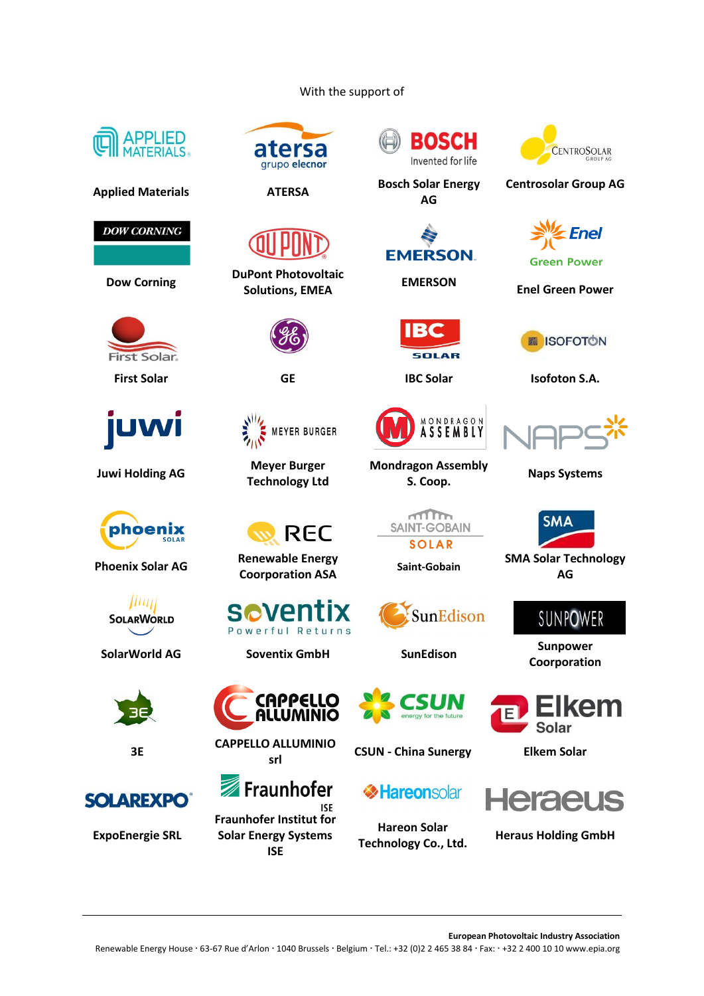### With the support of



**Applied Materials ATERSA Bosch Solar Energy** 

**DOW CORNING** 

**Dow Corning DuPont Photovoltaic** 



**Juwi Holding AG Meyer Burger** 



**Phoenix Solar AG Renewable Energy** 





**3E CAPPELLO ALLUMINIO** 



**ExpoEnergie SRL**



**Technology Ltd**

Powerful Returns

CAPPELLO

ALLUMINIO

**MEYER BURGER** 

**REC** 

**Fraunhofer Institut for Solar Energy Systems ISE**

Fraunhofer

**ISF** 



**AG**

**EMERSON** 

**BC** 

SOLAR

MONDRAGON<br>**ASSEMBLY** 

**Mondragon Assembly** 

 $\sqrt{10}$ 

**SAINT-GOBAIN** 

**SOLAR** 

SunEdison



**Centrosolar Group AG**



**Green Power** 

**Solutions, EMEA EMERSON Enel Green Power**



**First Solar GE IBC Solar Isofoton S.A.**



**S. Coop. Naps Systems**



**Coording Assume Assume Assume Assume Assume Assume Assume Assume Assume Assume Assume Assume Assume Assume Assume Assume Assume Assume Assume Assume Assume Assume Assume Assume Assume Assume Assume Assume Assume Assume As AG**

**SUNPOWER** 

**SolarWorld AG Soventix GmbH SunEdison Sunpower Coorporation**



**srl CSUN - China Sunergy Elkem Solar**

# **Heraeus**

**Hareon Solar Technology Co., Ltd. Heraus Holding GmbH**

**Experience Hareonsolar** 



**European Photovoltaic Industry Association** Renewable Energy House · 63-67 Rue d'Arlon · 1040 Brussels · Belgium · Tel.: +32 (0)2 2 465 38 84 · Fax: · +32 2 400 10 10 www.epia.org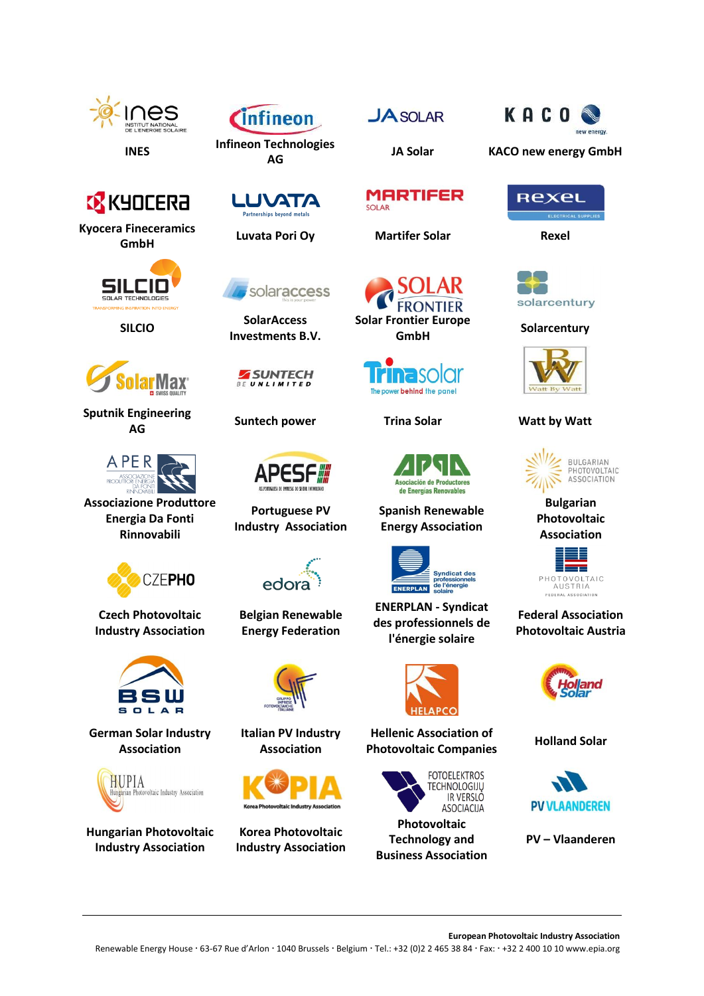







**AG JA Solar KACO new energy GmbH**



**Kyocera Fineceramics GmbH Luvata Pori Oy Martifer Solar Rexel**





**Sputnik Engineering AG Suntech power Trina Solar Watt by Watt**



**Associazione Produttore Energia Da Fonti Rinnovabili**



**Czech Photovoltaic Industry Association**



**German Solar Industry Association**



**Hungarian Photovoltaic Industry Association**





**SILCIO SolarAccess Investments B.V.**





**Portuguese PV Industry Association**



**Belgian Renewable Energy Federation**



**Italian PV Industry Association**



**Korea Photovoltaic Industry Association**









**Spanish Renewable Energy Association**



**ENERPLAN - Syndicat des professionnels de l'énergie solaire**



**Hellenic Association of Photovoltaic Companies Holland Solar**



**Photovoltaic Technology and Business Association**









**Bulgarian Photovoltaic Association**



## **Federal Association Photovoltaic Austria**





**PV – Vlaanderen**

**European Photovoltaic Industry Association**